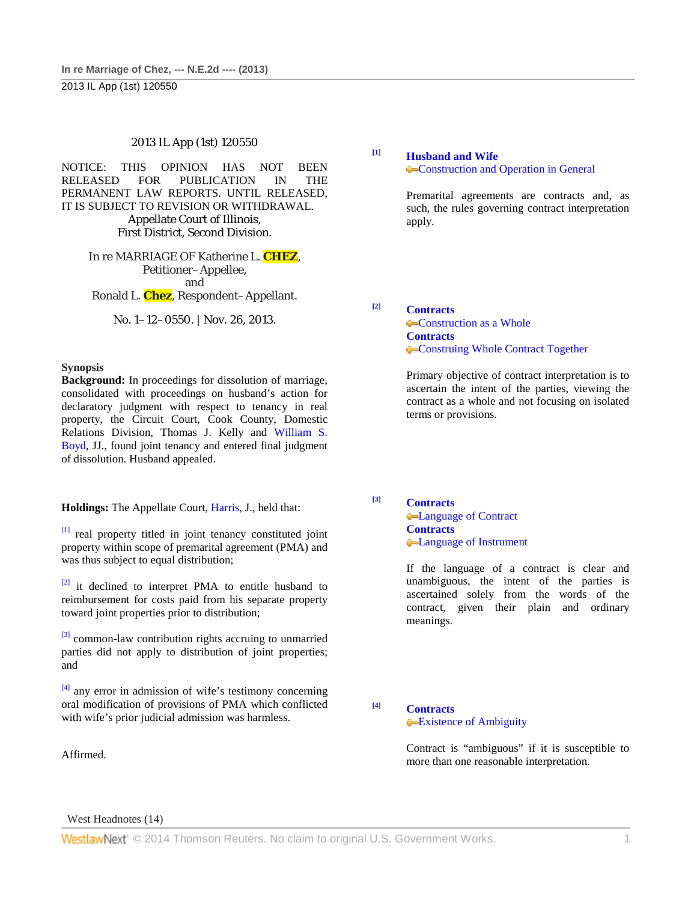#### 2013 IL App (1st) 120550

NOTICE: THIS OPINION HAS NOT BEEN RELEASED FOR PUBLICATION IN THE PERMANENT LAW REPORTS. UNTIL RELEASED, IT IS SUBJECT TO REVISION OR WITHDRAWAL. Appellate Court of Illinois, First District, Second Division.

> In re MARRIAGE OF Katherine L. **CHEZ**, Petitioner–Appellee, and Ronald L. **Chez**, Respondent–Appellant.

> > No. 1–12–0550. | Nov. 26, 2013.

#### **Synopsis**

**Background:** In proceedings for dissolution of marriage, consolidated with proceedings on husband's action for declaratory judgment with respect to tenancy in real property, the Circuit Court, Cook County, Domestic Relations Division, Thomas J. Kelly and William S. Boyd, JJ., found joint tenancy and entered final judgment of dissolution. Husband appealed.

**Holdings:** The Appellate Court, Harris, J., held that:

[1] real property titled in joint tenancy constituted joint property within scope of premarital agreement (PMA) and was thus subject to equal distribution;

 $[2]$  it declined to interpret PMA to entitle husband to reimbursement for costs paid from his separate property toward joint properties prior to distribution;

<sup>[3]</sup> common-law contribution rights accruing to unmarried parties did not apply to distribution of joint properties; and

 $[4]$  any error in admission of wife's testimony concerning oral modification of provisions of PMA which conflicted with wife's prior judicial admission was harmless.

Affirmed.

**[1] Husband and Wife**

**Construction and Operation in General** 

Premarital agreements are contracts and, as such, the rules governing contract interpretation apply.

**[2] Contracts Construction as a Whole Contracts Construing Whole Contract Together** 

> Primary objective of contract interpretation is to ascertain the intent of the parties, viewing the contract as a whole and not focusing on isolated terms or provisions.

**[3] Contracts**

**Contract Contracts** Language of Instrument

If the language of a contract is clear and unambiguous, the intent of the parties is ascertained solely from the words of the contract, given their plain and ordinary meanings.

**[4] Contracts**

## **Existence of Ambiguity**

Contract is "ambiguous" if it is susceptible to more than one reasonable interpretation.

West Headnotes (14)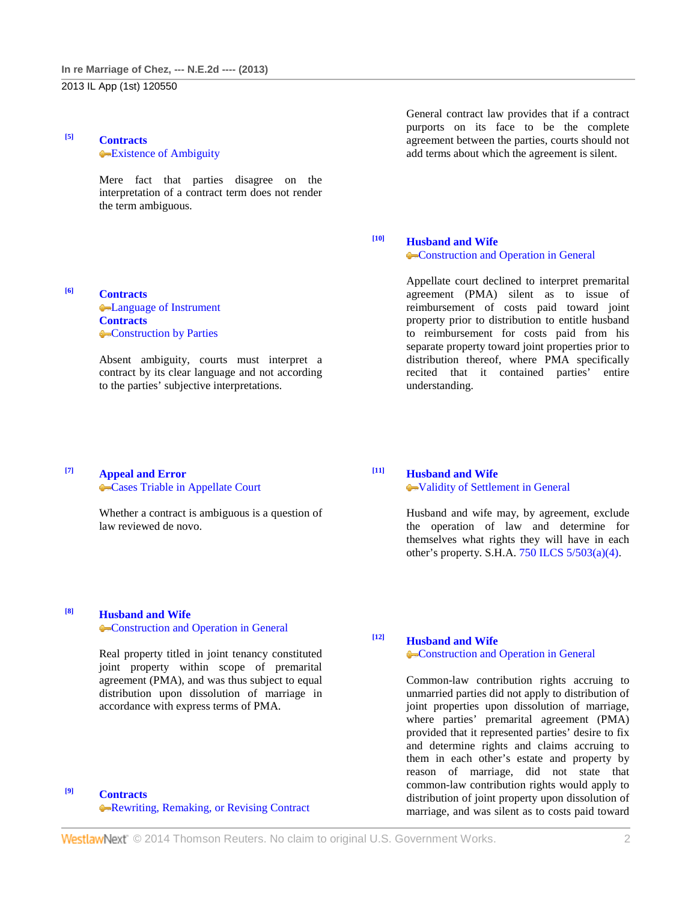### **[5] Contracts Existence of Ambiguity**

Mere fact that parties disagree on the interpretation of a contract term does not render the term ambiguous.

#### **[6] Contracts**

**C**-Language of Instrument **Contracts Construction by Parties** 

Absent ambiguity, courts must interpret a contract by its clear language and not according to the parties' subjective interpretations.

General contract law provides that if a contract purports on its face to be the complete agreement between the parties, courts should not add terms about which the agreement is silent.

# **[10] Husband and Wife**

**Construction and Operation in General** 

Appellate court declined to interpret premarital agreement (PMA) silent as to issue of reimbursement of costs paid toward joint property prior to distribution to entitle husband to reimbursement for costs paid from his separate property toward joint properties prior to distribution thereof, where PMA specifically recited that it contained parties' entire understanding.

#### **[7] Appeal and Error Cases Triable in Appellate Court**

Whether a contract is ambiguous is a question of law reviewed de novo.

# **[11] Husband and Wife**

Validity of Settlement in General

Husband and wife may, by agreement, exclude the operation of law and determine for themselves what rights they will have in each other's property. S.H.A. 750 ILCS 5/503(a)(4).

# **[8] Husband and Wife**

#### **Construction and Operation in General**

Real property titled in joint tenancy constituted joint property within scope of premarital agreement (PMA), and was thus subject to equal distribution upon dissolution of marriage in accordance with express terms of PMA.

## **[9] Contracts** Rewriting, Remaking, or Revising Contract

# **[12] Husband and Wife**

**Construction and Operation in General** 

Common-law contribution rights accruing to unmarried parties did not apply to distribution of joint properties upon dissolution of marriage, where parties' premarital agreement (PMA) provided that it represented parties' desire to fix and determine rights and claims accruing to them in each other's estate and property by reason of marriage, did not state that common-law contribution rights would apply to distribution of joint property upon dissolution of marriage, and was silent as to costs paid toward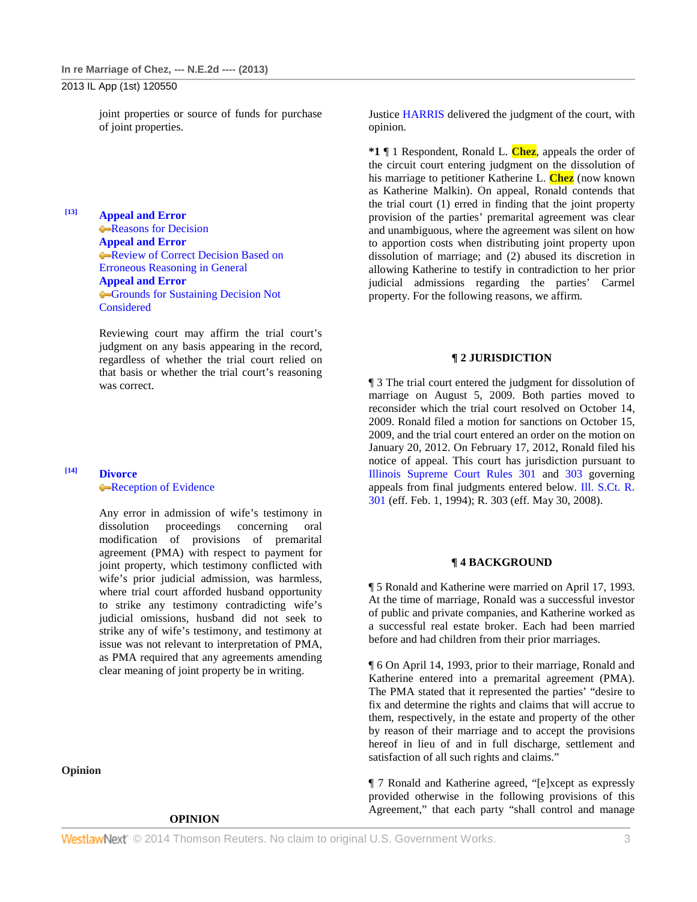joint properties or source of funds for purchase of joint properties.

**[13] Appeal and Error Reasons for Decision Appeal and Error Review of Correct Decision Based on** Erroneous Reasoning in General **Appeal and Error** Grounds for Sustaining Decision Not Considered

> Reviewing court may affirm the trial court's judgment on any basis appearing in the record, regardless of whether the trial court relied on that basis or whether the trial court's reasoning was correct.

#### **[14] Divorce Reception of Evidence**

Any error in admission of wife's testimony in dissolution proceedings concerning oral modification of provisions of premarital agreement (PMA) with respect to payment for joint property, which testimony conflicted with wife's prior judicial admission, was harmless, where trial court afforded husband opportunity to strike any testimony contradicting wife's judicial omissions, husband did not seek to strike any of wife's testimony, and testimony at issue was not relevant to interpretation of PMA, as PMA required that any agreements amending clear meaning of joint property be in writing.

**Opinion**

#### **OPINION**

Justice HARRIS delivered the judgment of the court, with opinion.

**\*1** ¶ 1 Respondent, Ronald L. **Chez**, appeals the order of the circuit court entering judgment on the dissolution of his marriage to petitioner Katherine L. **Chez** (now known as Katherine Malkin). On appeal, Ronald contends that the trial court (1) erred in finding that the joint property provision of the parties' premarital agreement was clear and unambiguous, where the agreement was silent on how to apportion costs when distributing joint property upon dissolution of marriage; and (2) abused its discretion in allowing Katherine to testify in contradiction to her prior judicial admissions regarding the parties' Carmel property. For the following reasons, we affirm.

#### **¶ 2 JURISDICTION**

¶ 3 The trial court entered the judgment for dissolution of marriage on August 5, 2009. Both parties moved to reconsider which the trial court resolved on October 14, 2009. Ronald filed a motion for sanctions on October 15, 2009, and the trial court entered an order on the motion on January 20, 2012. On February 17, 2012, Ronald filed his notice of appeal. This court has jurisdiction pursuant to Illinois Supreme Court Rules 301 and 303 governing appeals from final judgments entered below. Ill. S.Ct. R. 301 (eff. Feb. 1, 1994); R. 303 (eff. May 30, 2008).

#### **¶ 4 BACKGROUND**

¶ 5 Ronald and Katherine were married on April 17, 1993. At the time of marriage, Ronald was a successful investor of public and private companies, and Katherine worked as a successful real estate broker. Each had been married before and had children from their prior marriages.

¶ 6 On April 14, 1993, prior to their marriage, Ronald and Katherine entered into a premarital agreement (PMA). The PMA stated that it represented the parties' "desire to fix and determine the rights and claims that will accrue to them, respectively, in the estate and property of the other by reason of their marriage and to accept the provisions hereof in lieu of and in full discharge, settlement and satisfaction of all such rights and claims."

¶ 7 Ronald and Katherine agreed, "[e]xcept as expressly provided otherwise in the following provisions of this Agreement," that each party "shall control and manage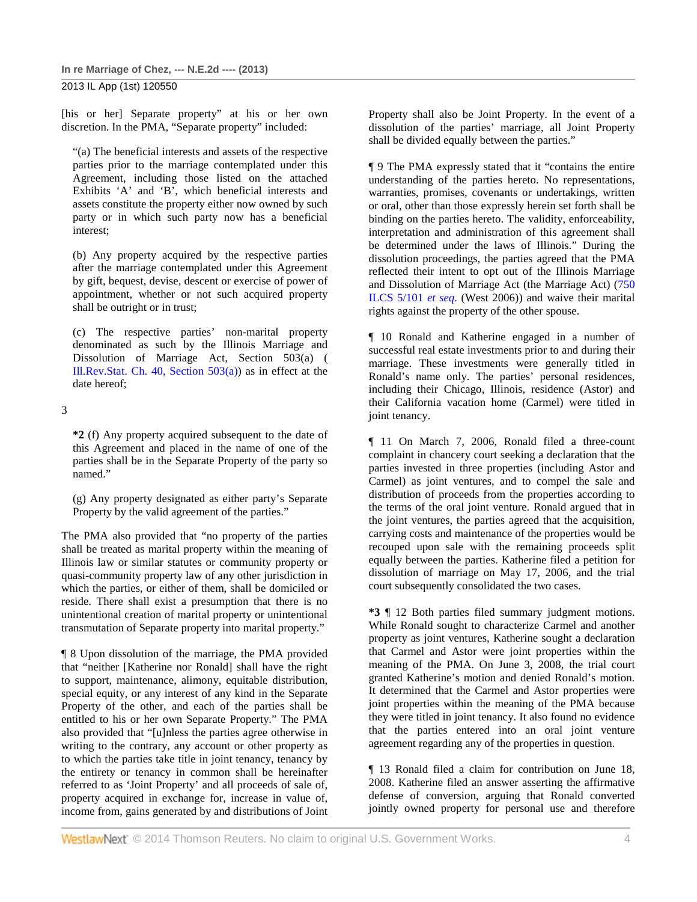[his or her] Separate property" at his or her own discretion. In the PMA, "Separate property" included:

"(a) The beneficial interests and assets of the respective parties prior to the marriage contemplated under this Agreement, including those listed on the attached Exhibits 'A' and 'B', which beneficial interests and assets constitute the property either now owned by such party or in which such party now has a beneficial interest;

(b) Any property acquired by the respective parties after the marriage contemplated under this Agreement by gift, bequest, devise, descent or exercise of power of appointment, whether or not such acquired property shall be outright or in trust;

(c) The respective parties' non-marital property denominated as such by the Illinois Marriage and Dissolution of Marriage Act, Section 503(a) ( Ill.Rev.Stat. Ch. 40, Section 503(a)) as in effect at the date hereof;

3

**\*2** (f) Any property acquired subsequent to the date of this Agreement and placed in the name of one of the parties shall be in the Separate Property of the party so named."

(g) Any property designated as either party's Separate Property by the valid agreement of the parties."

The PMA also provided that "no property of the parties shall be treated as marital property within the meaning of Illinois law or similar statutes or community property or quasi-community property law of any other jurisdiction in which the parties, or either of them, shall be domiciled or reside. There shall exist a presumption that there is no unintentional creation of marital property or unintentional transmutation of Separate property into marital property."

¶ 8 Upon dissolution of the marriage, the PMA provided that "neither [Katherine nor Ronald] shall have the right to support, maintenance, alimony, equitable distribution, special equity, or any interest of any kind in the Separate Property of the other, and each of the parties shall be entitled to his or her own Separate Property." The PMA also provided that "[u]nless the parties agree otherwise in writing to the contrary, any account or other property as to which the parties take title in joint tenancy, tenancy by the entirety or tenancy in common shall be hereinafter referred to as 'Joint Property' and all proceeds of sale of, property acquired in exchange for, increase in value of, income from, gains generated by and distributions of Joint

Property shall also be Joint Property. In the event of a dissolution of the parties' marriage, all Joint Property shall be divided equally between the parties."

¶ 9 The PMA expressly stated that it "contains the entire understanding of the parties hereto. No representations, warranties, promises, covenants or undertakings, written or oral, other than those expressly herein set forth shall be binding on the parties hereto. The validity, enforceability, interpretation and administration of this agreement shall be determined under the laws of Illinois." During the dissolution proceedings, the parties agreed that the PMA reflected their intent to opt out of the Illinois Marriage and Dissolution of Marriage Act (the Marriage Act) (750 ILCS 5/101 *et seq.* (West 2006)) and waive their marital rights against the property of the other spouse.

¶ 10 Ronald and Katherine engaged in a number of successful real estate investments prior to and during their marriage. These investments were generally titled in Ronald's name only. The parties' personal residences, including their Chicago, Illinois, residence (Astor) and their California vacation home (Carmel) were titled in joint tenancy.

¶ 11 On March 7, 2006, Ronald filed a three-count complaint in chancery court seeking a declaration that the parties invested in three properties (including Astor and Carmel) as joint ventures, and to compel the sale and distribution of proceeds from the properties according to the terms of the oral joint venture. Ronald argued that in the joint ventures, the parties agreed that the acquisition, carrying costs and maintenance of the properties would be recouped upon sale with the remaining proceeds split equally between the parties. Katherine filed a petition for dissolution of marriage on May 17, 2006, and the trial court subsequently consolidated the two cases.

**\*3** ¶ 12 Both parties filed summary judgment motions. While Ronald sought to characterize Carmel and another property as joint ventures, Katherine sought a declaration that Carmel and Astor were joint properties within the meaning of the PMA. On June 3, 2008, the trial court granted Katherine's motion and denied Ronald's motion. It determined that the Carmel and Astor properties were joint properties within the meaning of the PMA because they were titled in joint tenancy. It also found no evidence that the parties entered into an oral joint venture agreement regarding any of the properties in question.

¶ 13 Ronald filed a claim for contribution on June 18, 2008. Katherine filed an answer asserting the affirmative defense of conversion, arguing that Ronald converted jointly owned property for personal use and therefore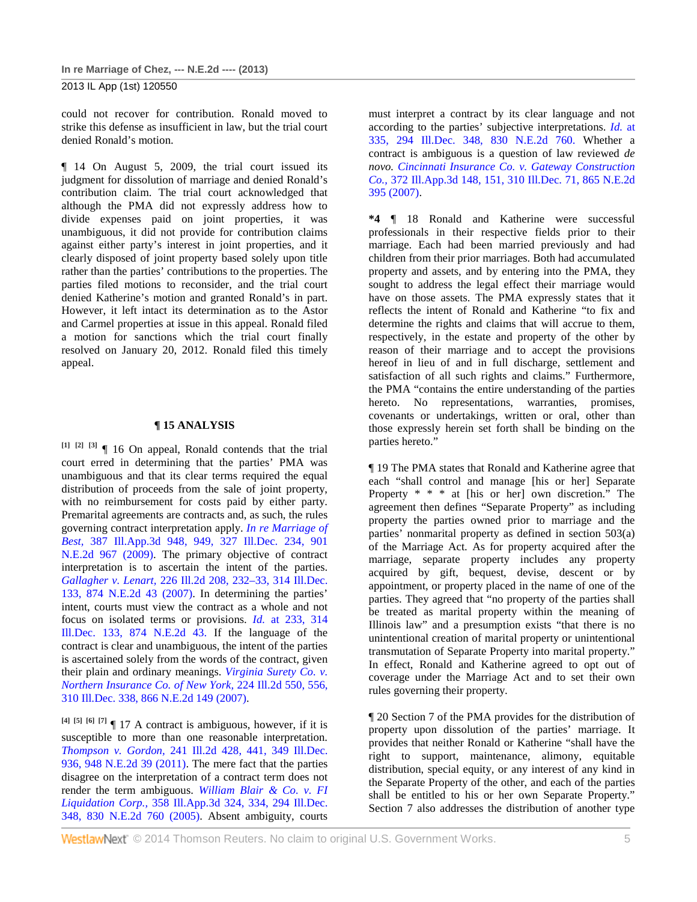could not recover for contribution. Ronald moved to strike this defense as insufficient in law, but the trial court denied Ronald's motion.

¶ 14 On August 5, 2009, the trial court issued its judgment for dissolution of marriage and denied Ronald's contribution claim. The trial court acknowledged that although the PMA did not expressly address how to divide expenses paid on joint properties, it was unambiguous, it did not provide for contribution claims against either party's interest in joint properties, and it clearly disposed of joint property based solely upon title rather than the parties' contributions to the properties. The parties filed motions to reconsider, and the trial court denied Katherine's motion and granted Ronald's in part. However, it left intact its determination as to the Astor and Carmel properties at issue in this appeal. Ronald filed a motion for sanctions which the trial court finally resolved on January 20, 2012. Ronald filed this timely appeal.

#### **¶ 15 ANALYSIS**

**[1] [2] [3]** ¶ 16 On appeal, Ronald contends that the trial court erred in determining that the parties' PMA was unambiguous and that its clear terms required the equal distribution of proceeds from the sale of joint property, with no reimbursement for costs paid by either party. Premarital agreements are contracts and, as such, the rules governing contract interpretation apply. *In re Marriage of Best,* 387 Ill.App.3d 948, 949, 327 Ill.Dec. 234, 901 N.E.2d 967 (2009). The primary objective of contract interpretation is to ascertain the intent of the parties. *Gallagher v. Lenart,* 226 Ill.2d 208, 232–33, 314 Ill.Dec. 133, 874 N.E.2d 43 (2007). In determining the parties' intent, courts must view the contract as a whole and not focus on isolated terms or provisions. *Id.* at 233, 314 Ill.Dec. 133, 874 N.E.2d 43. If the language of the contract is clear and unambiguous, the intent of the parties is ascertained solely from the words of the contract, given their plain and ordinary meanings. *Virginia Surety Co. v. Northern Insurance Co. of New York,* 224 Ill.2d 550, 556, 310 Ill.Dec. 338, 866 N.E.2d 149 (2007).

**[4] [5] [6] [7]** ¶ 17 A contract is ambiguous, however, if it is susceptible to more than one reasonable interpretation. *Thompson v. Gordon,* 241 Ill.2d 428, 441, 349 Ill.Dec. 936, 948 N.E.2d 39 (2011). The mere fact that the parties disagree on the interpretation of a contract term does not render the term ambiguous. *William Blair & Co. v. FI Liquidation Corp.,* 358 Ill.App.3d 324, 334, 294 Ill.Dec. 348, 830 N.E.2d 760 (2005). Absent ambiguity, courts

must interpret a contract by its clear language and not according to the parties' subjective interpretations. *Id.* at 335, 294 Ill.Dec. 348, 830 N.E.2d 760. Whether a contract is ambiguous is a question of law reviewed *de novo. Cincinnati Insurance Co. v. Gateway Construction Co.,* 372 Ill.App.3d 148, 151, 310 Ill.Dec. 71, 865 N.E.2d 395 (2007).

**\*4** ¶ 18 Ronald and Katherine were successful professionals in their respective fields prior to their marriage. Each had been married previously and had children from their prior marriages. Both had accumulated property and assets, and by entering into the PMA, they sought to address the legal effect their marriage would have on those assets. The PMA expressly states that it reflects the intent of Ronald and Katherine "to fix and determine the rights and claims that will accrue to them, respectively, in the estate and property of the other by reason of their marriage and to accept the provisions hereof in lieu of and in full discharge, settlement and satisfaction of all such rights and claims." Furthermore, the PMA "contains the entire understanding of the parties hereto. No representations, warranties, promises, covenants or undertakings, written or oral, other than those expressly herein set forth shall be binding on the parties hereto."

¶ 19 The PMA states that Ronald and Katherine agree that each "shall control and manage [his or her] Separate Property \* \* \* at [his or her] own discretion." The agreement then defines "Separate Property" as including property the parties owned prior to marriage and the parties' nonmarital property as defined in section 503(a) of the Marriage Act. As for property acquired after the marriage, separate property includes any property acquired by gift, bequest, devise, descent or by appointment, or property placed in the name of one of the parties. They agreed that "no property of the parties shall be treated as marital property within the meaning of Illinois law" and a presumption exists "that there is no unintentional creation of marital property or unintentional transmutation of Separate Property into marital property." In effect, Ronald and Katherine agreed to opt out of coverage under the Marriage Act and to set their own rules governing their property.

¶ 20 Section 7 of the PMA provides for the distribution of property upon dissolution of the parties' marriage. It provides that neither Ronald or Katherine "shall have the right to support, maintenance, alimony, equitable distribution, special equity, or any interest of any kind in the Separate Property of the other, and each of the parties shall be entitled to his or her own Separate Property." Section 7 also addresses the distribution of another type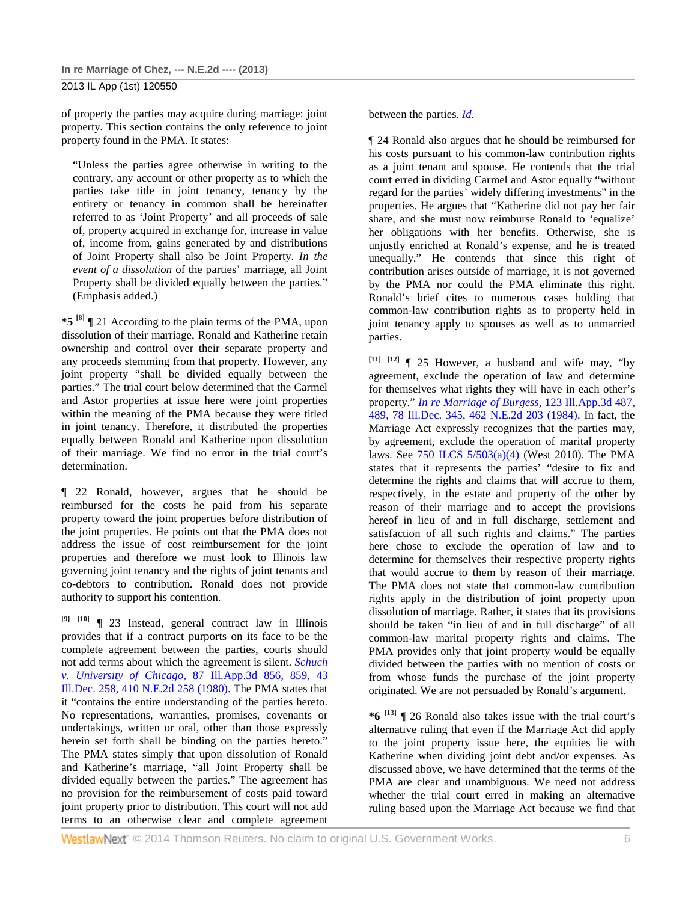of property the parties may acquire during marriage: joint property. This section contains the only reference to joint property found in the PMA. It states:

"Unless the parties agree otherwise in writing to the contrary, any account or other property as to which the parties take title in joint tenancy, tenancy by the entirety or tenancy in common shall be hereinafter referred to as 'Joint Property' and all proceeds of sale of, property acquired in exchange for, increase in value of, income from, gains generated by and distributions of Joint Property shall also be Joint Property. *In the event of a dissolution* of the parties' marriage, all Joint Property shall be divided equally between the parties." (Emphasis added.)

**\*5 [8]** ¶ 21 According to the plain terms of the PMA, upon dissolution of their marriage, Ronald and Katherine retain ownership and control over their separate property and any proceeds stemming from that property. However, any joint property "shall be divided equally between the parties." The trial court below determined that the Carmel and Astor properties at issue here were joint properties within the meaning of the PMA because they were titled in joint tenancy. Therefore, it distributed the properties equally between Ronald and Katherine upon dissolution of their marriage. We find no error in the trial court's determination.

¶ 22 Ronald, however, argues that he should be reimbursed for the costs he paid from his separate property toward the joint properties before distribution of the joint properties. He points out that the PMA does not address the issue of cost reimbursement for the joint properties and therefore we must look to Illinois law governing joint tenancy and the rights of joint tenants and co-debtors to contribution. Ronald does not provide authority to support his contention.

**[9] [10]** ¶ 23 Instead, general contract law in Illinois provides that if a contract purports on its face to be the complete agreement between the parties, courts should not add terms about which the agreement is silent. *Schuch v. University of Chicago,* 87 Ill.App.3d 856, 859, 43 Ill.Dec. 258, 410 N.E.2d 258 (1980). The PMA states that it "contains the entire understanding of the parties hereto. No representations, warranties, promises, covenants or undertakings, written or oral, other than those expressly herein set forth shall be binding on the parties hereto." The PMA states simply that upon dissolution of Ronald and Katherine's marriage, "all Joint Property shall be divided equally between the parties." The agreement has no provision for the reimbursement of costs paid toward joint property prior to distribution. This court will not add terms to an otherwise clear and complete agreement between the parties. *Id.*

¶ 24 Ronald also argues that he should be reimbursed for his costs pursuant to his common-law contribution rights as a joint tenant and spouse. He contends that the trial court erred in dividing Carmel and Astor equally "without regard for the parties' widely differing investments" in the properties. He argues that "Katherine did not pay her fair share, and she must now reimburse Ronald to 'equalize' her obligations with her benefits. Otherwise, she is unjustly enriched at Ronald's expense, and he is treated unequally." He contends that since this right of contribution arises outside of marriage, it is not governed by the PMA nor could the PMA eliminate this right. Ronald's brief cites to numerous cases holding that common-law contribution rights as to property held in joint tenancy apply to spouses as well as to unmarried parties.

**[11] [12]** ¶ 25 However, a husband and wife may, "by agreement, exclude the operation of law and determine for themselves what rights they will have in each other's property." *In re Marriage of Burgess,* 123 Ill.App.3d 487, 489, 78 Ill.Dec. 345, 462 N.E.2d 203 (1984). In fact, the Marriage Act expressly recognizes that the parties may, by agreement, exclude the operation of marital property laws. See 750 ILCS 5/503(a)(4) (West 2010). The PMA states that it represents the parties' "desire to fix and determine the rights and claims that will accrue to them, respectively, in the estate and property of the other by reason of their marriage and to accept the provisions hereof in lieu of and in full discharge, settlement and satisfaction of all such rights and claims." The parties here chose to exclude the operation of law and to determine for themselves their respective property rights that would accrue to them by reason of their marriage. The PMA does not state that common-law contribution rights apply in the distribution of joint property upon dissolution of marriage. Rather, it states that its provisions should be taken "in lieu of and in full discharge" of all common-law marital property rights and claims. The PMA provides only that joint property would be equally divided between the parties with no mention of costs or from whose funds the purchase of the joint property originated. We are not persuaded by Ronald's argument.

**\*6 [13]** ¶ 26 Ronald also takes issue with the trial court's alternative ruling that even if the Marriage Act did apply to the joint property issue here, the equities lie with Katherine when dividing joint debt and/or expenses. As discussed above, we have determined that the terms of the PMA are clear and unambiguous. We need not address whether the trial court erred in making an alternative ruling based upon the Marriage Act because we find that